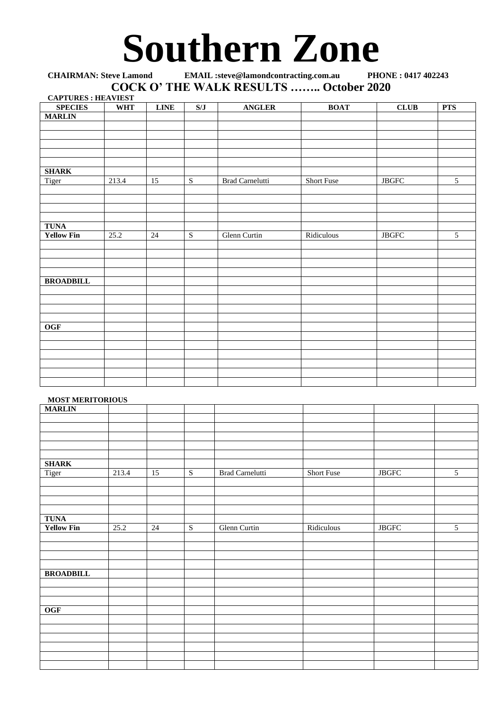## Southern Zone

**CHAIRMAN: Steve Lamond EMAIL :steve@lamondcontracting.com.au COCK O' THE WALK RESULTS …….. October 2020**

| <b>CAPTURES: HEAVIEST</b> |            |             |                |                        |                   |                        |                |
|---------------------------|------------|-------------|----------------|------------------------|-------------------|------------------------|----------------|
| <b>SPECIES</b>            | <b>WHT</b> | <b>LINE</b> | S/J            | <b>ANGLER</b>          | <b>BOAT</b>       | CLUB                   | <b>PTS</b>     |
| <b>MARLIN</b>             |            |             |                |                        |                   |                        |                |
|                           |            |             |                |                        |                   |                        |                |
|                           |            |             |                |                        |                   |                        |                |
|                           |            |             |                |                        |                   |                        |                |
|                           |            |             |                |                        |                   |                        |                |
|                           |            |             |                |                        |                   |                        |                |
| <b>SHARK</b>              |            |             |                |                        |                   |                        |                |
| Tiger                     | 213.4      | 15          | ${\bf S}$      | <b>Brad Carnelutti</b> | <b>Short Fuse</b> | $\operatorname{JBGFC}$ | 5              |
|                           |            |             |                |                        |                   |                        |                |
|                           |            |             |                |                        |                   |                        |                |
|                           |            |             |                |                        |                   |                        |                |
|                           |            |             |                |                        |                   |                        |                |
| <b>TUNA</b>               |            |             |                |                        |                   |                        |                |
| <b>Yellow Fin</b>         | 25.2       | $24\,$      | $\overline{S}$ | Glenn Curtin           | Ridiculous        | $\operatorname{JBGFC}$ | $\overline{5}$ |
|                           |            |             |                |                        |                   |                        |                |
|                           |            |             |                |                        |                   |                        |                |
|                           |            |             |                |                        |                   |                        |                |
|                           |            |             |                |                        |                   |                        |                |
| <b>BROADBILL</b>          |            |             |                |                        |                   |                        |                |
|                           |            |             |                |                        |                   |                        |                |
|                           |            |             |                |                        |                   |                        |                |
|                           |            |             |                |                        |                   |                        |                |
|                           |            |             |                |                        |                   |                        |                |
| <b>OGF</b>                |            |             |                |                        |                   |                        |                |
|                           |            |             |                |                        |                   |                        |                |
|                           |            |             |                |                        |                   |                        |                |
|                           |            |             |                |                        |                   |                        |                |
|                           |            |             |                |                        |                   |                        |                |
|                           |            |             |                |                        |                   |                        |                |
|                           |            |             |                |                        |                   |                        |                |
|                           |            |             |                |                        |                   |                        |                |

## **MOST MERITORIOUS**

| <b>MARLIN</b>     | ------ |                 |                         |                 |            |                     |                |
|-------------------|--------|-----------------|-------------------------|-----------------|------------|---------------------|----------------|
|                   |        |                 |                         |                 |            |                     |                |
|                   |        |                 |                         |                 |            |                     |                |
|                   |        |                 |                         |                 |            |                     |                |
|                   |        |                 |                         |                 |            |                     |                |
|                   |        |                 |                         |                 |            |                     |                |
| <b>SHARK</b>      |        |                 |                         |                 |            |                     |                |
| Tiger             | 213.4  | 15              | $\overline{S}$          | Brad Carnelutti | Short Fuse | $_{\rm JBGFC}$      | 5              |
|                   |        |                 |                         |                 |            |                     |                |
|                   |        |                 |                         |                 |            |                     |                |
|                   |        |                 |                         |                 |            |                     |                |
|                   |        |                 |                         |                 |            |                     |                |
| <b>TUNA</b>       |        |                 |                         |                 |            |                     |                |
| <b>Yellow Fin</b> | 25.2   | $\overline{24}$ | $\overline{\mathbf{S}}$ | Glenn Curtin    | Ridiculous | $\operatorname{JB}$ | $\overline{5}$ |
|                   |        |                 |                         |                 |            |                     |                |
|                   |        |                 |                         |                 |            |                     |                |
|                   |        |                 |                         |                 |            |                     |                |
|                   |        |                 |                         |                 |            |                     |                |
| <b>BROADBILL</b>  |        |                 |                         |                 |            |                     |                |
|                   |        |                 |                         |                 |            |                     |                |
|                   |        |                 |                         |                 |            |                     |                |
|                   |        |                 |                         |                 |            |                     |                |
| OGF               |        |                 |                         |                 |            |                     |                |
|                   |        |                 |                         |                 |            |                     |                |
|                   |        |                 |                         |                 |            |                     |                |
|                   |        |                 |                         |                 |            |                     |                |
|                   |        |                 |                         |                 |            |                     |                |
|                   |        |                 |                         |                 |            |                     |                |
|                   |        |                 |                         |                 |            |                     |                |